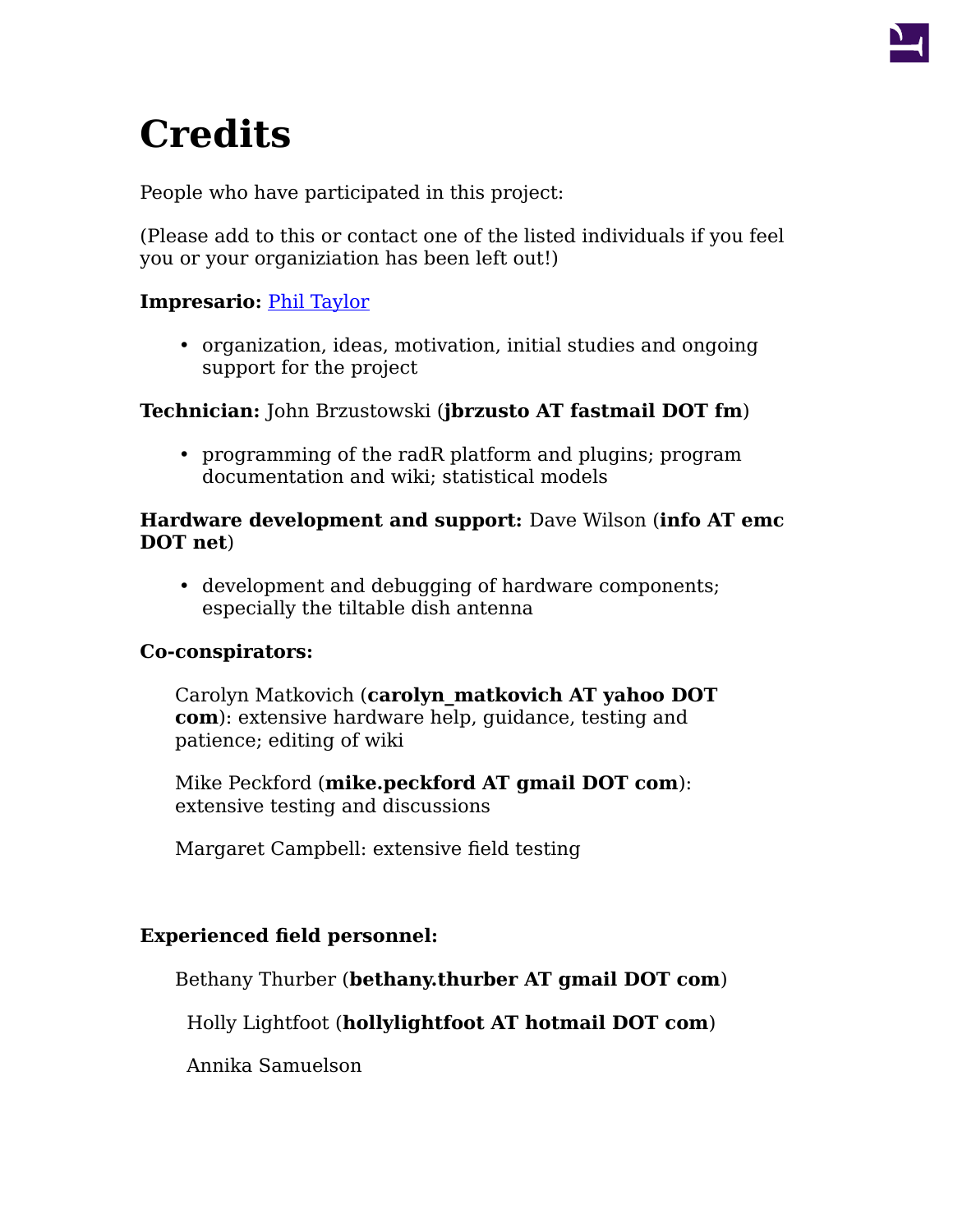

# **Credits**

People who have participated in this project:

(Please add to this or contact one of the listed individuals if you feel you or your organiziation has been left out!)

# **Impresario:** [Phil Taylor](http://landscape.acadiau.ca/Phil_Taylor/)

• organization, ideas, motivation, initial studies and ongoing support for the project

## **Technician:** John Brzustowski (**jbrzusto AT fastmail DOT fm**)

• programming of the radR platform and plugins; program documentation and wiki; statistical models

#### **Hardware development and support:** Dave Wilson (**info AT emc DOT net**)

• development and debugging of hardware components; especially the tiltable dish antenna

## **Co-conspirators:**

Carolyn Matkovich (**carolyn\_matkovich AT yahoo DOT com**): extensive hardware help, guidance, testing and patience; editing of wiki

Mike Peckford (**mike.peckford AT gmail DOT com**): extensive testing and discussions

Margaret Campbell: extensive field testing

## **Experienced field personnel:**

Bethany Thurber (**bethany.thurber AT gmail DOT com**)

Holly Lightfoot (**hollylightfoot AT hotmail DOT com**)

Annika Samuelson